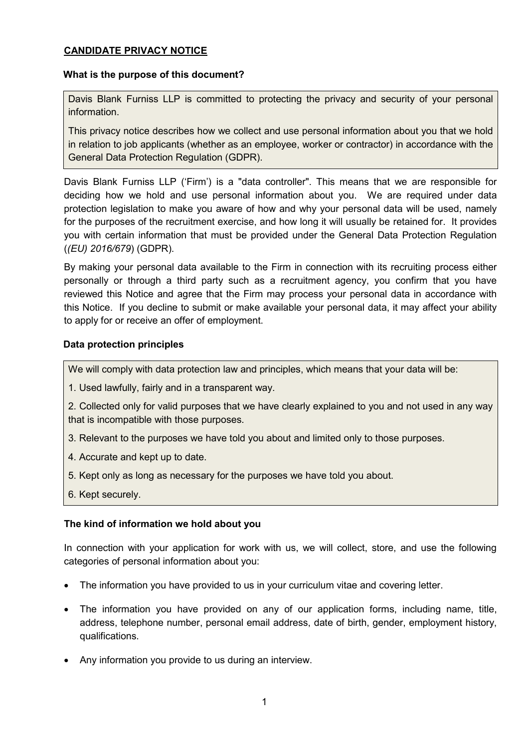# **CANDIDATE PRIVACY NOTICE**

### **What is the purpose of this document?**

Davis Blank Furniss LLP is committed to protecting the privacy and security of your personal information.

This privacy notice describes how we collect and use personal information about you that we hold in relation to job applicants (whether as an employee, worker or contractor) in accordance with the General Data Protection Regulation (GDPR).

Davis Blank Furniss LLP ('Firm') is a "data controller". This means that we are responsible for deciding how we hold and use personal information about you. We are required under data protection legislation to make you aware of how and why your personal data will be used, namely for the purposes of the recruitment exercise, and how long it will usually be retained for. It provides you with certain information that must be provided under the General Data Protection Regulation (*(EU) 2016/679*) (GDPR).

By making your personal data available to the Firm in connection with its recruiting process either personally or through a third party such as a recruitment agency, you confirm that you have reviewed this Notice and agree that the Firm may process your personal data in accordance with this Notice. If you decline to submit or make available your personal data, it may affect your ability to apply for or receive an offer of employment.

# **Data protection principles**

We will comply with data protection law and principles, which means that your data will be:

1. Used lawfully, fairly and in a transparent way.

2. Collected only for valid purposes that we have clearly explained to you and not used in any way that is incompatible with those purposes.

- 3. Relevant to the purposes we have told you about and limited only to those purposes.
- 4. Accurate and kept up to date.
- 5. Kept only as long as necessary for the purposes we have told you about.
- 6. Kept securely.

# **The kind of information we hold about you**

In connection with your application for work with us, we will collect, store, and use the following categories of personal information about you:

- The information you have provided to us in your curriculum vitae and covering letter.
- The information you have provided on any of our application forms, including name, title, address, telephone number, personal email address, date of birth, gender, employment history, qualifications.
- Any information you provide to us during an interview.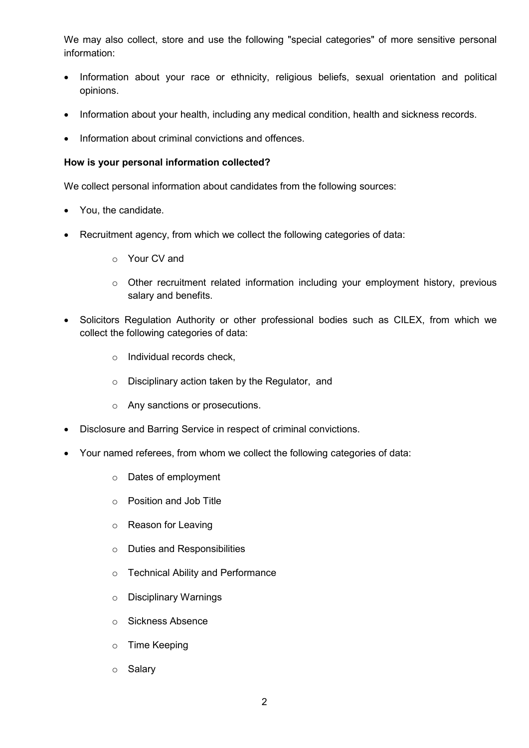We may also collect, store and use the following "special categories" of more sensitive personal information:

- Information about your race or ethnicity, religious beliefs, sexual orientation and political opinions.
- Information about your health, including any medical condition, health and sickness records.
- Information about criminal convictions and offences.

#### **How is your personal information collected?**

We collect personal information about candidates from the following sources:

- You, the candidate.
- Recruitment agency, from which we collect the following categories of data:
	- o Your CV and
	- o Other recruitment related information including your employment history, previous salary and benefits.
- Solicitors Regulation Authority or other professional bodies such as CILEX, from which we collect the following categories of data:
	- o Individual records check,
	- o Disciplinary action taken by the Regulator, and
	- o Any sanctions or prosecutions.
- Disclosure and Barring Service in respect of criminal convictions.
- Your named referees, from whom we collect the following categories of data:
	- o Dates of employment
	- o Position and Job Title
	- o Reason for Leaving
	- o Duties and Responsibilities
	- o Technical Ability and Performance
	- o Disciplinary Warnings
	- o Sickness Absence
	- o Time Keeping
	- o Salary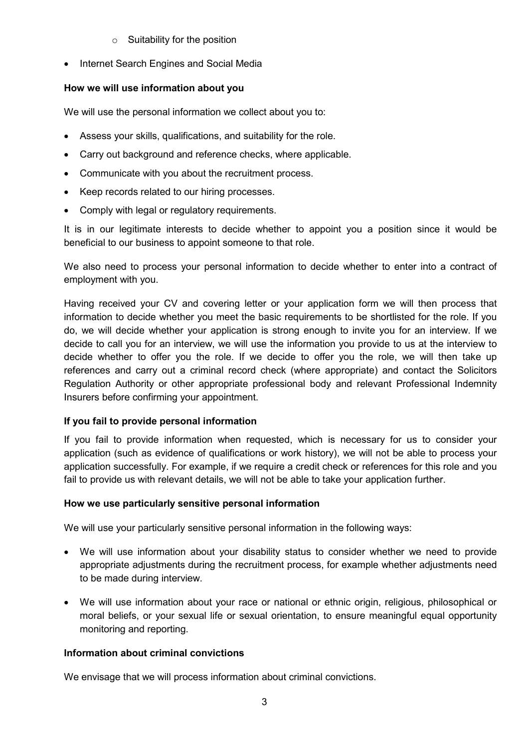- $\circ$  Suitability for the position
- Internet Search Engines and Social Media

# **How we will use information about you**

We will use the personal information we collect about you to:

- Assess your skills, qualifications, and suitability for the role.
- Carry out background and reference checks, where applicable.
- Communicate with you about the recruitment process.
- Keep records related to our hiring processes.
- Comply with legal or regulatory requirements.

It is in our legitimate interests to decide whether to appoint you a position since it would be beneficial to our business to appoint someone to that role.

We also need to process your personal information to decide whether to enter into a contract of employment with you.

Having received your CV and covering letter or your application form we will then process that information to decide whether you meet the basic requirements to be shortlisted for the role. If you do, we will decide whether your application is strong enough to invite you for an interview. If we decide to call you for an interview, we will use the information you provide to us at the interview to decide whether to offer you the role. If we decide to offer you the role, we will then take up references and carry out a criminal record check (where appropriate) and contact the Solicitors Regulation Authority or other appropriate professional body and relevant Professional Indemnity Insurers before confirming your appointment.

### **If you fail to provide personal information**

If you fail to provide information when requested, which is necessary for us to consider your application (such as evidence of qualifications or work history), we will not be able to process your application successfully. For example, if we require a credit check or references for this role and you fail to provide us with relevant details, we will not be able to take your application further.

### **How we use particularly sensitive personal information**

We will use your particularly sensitive personal information in the following ways:

- We will use information about your disability status to consider whether we need to provide appropriate adjustments during the recruitment process, for example whether adjustments need to be made during interview.
- We will use information about your race or national or ethnic origin, religious, philosophical or moral beliefs, or your sexual life or sexual orientation, to ensure meaningful equal opportunity monitoring and reporting.

### **Information about criminal convictions**

We envisage that we will process information about criminal convictions.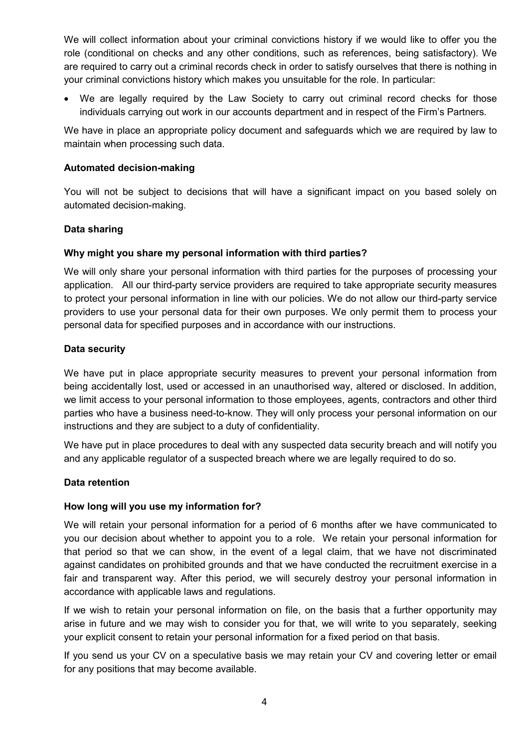We will collect information about your criminal convictions history if we would like to offer you the role (conditional on checks and any other conditions, such as references, being satisfactory). We are required to carry out a criminal records check in order to satisfy ourselves that there is nothing in your criminal convictions history which makes you unsuitable for the role. In particular:

• We are legally required by the Law Society to carry out criminal record checks for those individuals carrying out work in our accounts department and in respect of the Firm's Partners.

We have in place an appropriate policy document and safeguards which we are required by law to maintain when processing such data.

### **Automated decision-making**

You will not be subject to decisions that will have a significant impact on you based solely on automated decision-making.

# **Data sharing**

# **Why might you share my personal information with third parties?**

We will only share your personal information with third parties for the purposes of processing your application. All our third-party service providers are required to take appropriate security measures to protect your personal information in line with our policies. We do not allow our third-party service providers to use your personal data for their own purposes. We only permit them to process your personal data for specified purposes and in accordance with our instructions.

### **Data security**

We have put in place appropriate security measures to prevent your personal information from being accidentally lost, used or accessed in an unauthorised way, altered or disclosed. In addition, we limit access to your personal information to those employees, agents, contractors and other third parties who have a business need-to-know. They will only process your personal information on our instructions and they are subject to a duty of confidentiality.

We have put in place procedures to deal with any suspected data security breach and will notify you and any applicable regulator of a suspected breach where we are legally required to do so.

### **Data retention**

### **How long will you use my information for?**

We will retain your personal information for a period of 6 months after we have communicated to you our decision about whether to appoint you to a role. We retain your personal information for that period so that we can show, in the event of a legal claim, that we have not discriminated against candidates on prohibited grounds and that we have conducted the recruitment exercise in a fair and transparent way. After this period, we will securely destroy your personal information in accordance with applicable laws and regulations.

If we wish to retain your personal information on file, on the basis that a further opportunity may arise in future and we may wish to consider you for that, we will write to you separately, seeking your explicit consent to retain your personal information for a fixed period on that basis.

If you send us your CV on a speculative basis we may retain your CV and covering letter or email for any positions that may become available.